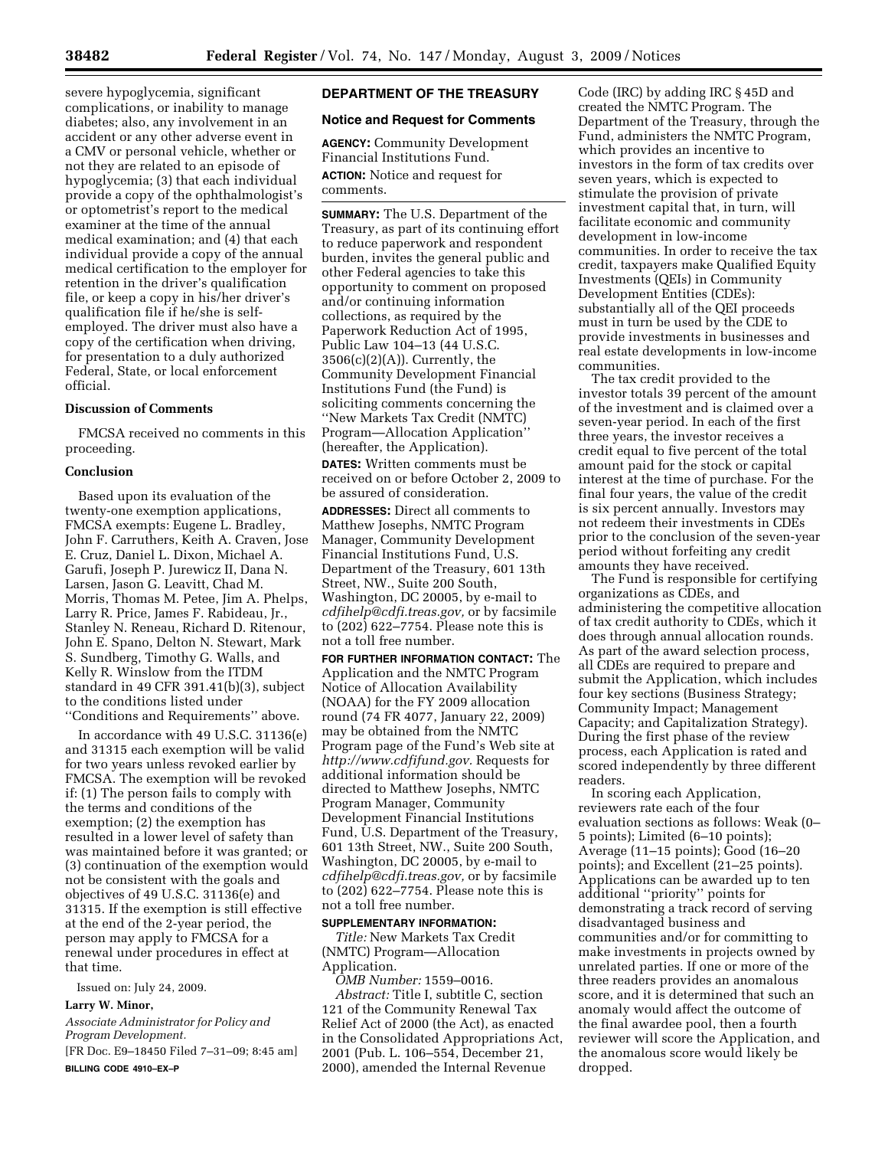severe hypoglycemia, significant complications, or inability to manage diabetes; also, any involvement in an accident or any other adverse event in a CMV or personal vehicle, whether or not they are related to an episode of hypoglycemia; (3) that each individual provide a copy of the ophthalmologist's or optometrist's report to the medical examiner at the time of the annual medical examination; and (4) that each individual provide a copy of the annual medical certification to the employer for retention in the driver's qualification file, or keep a copy in his/her driver's qualification file if he/she is selfemployed. The driver must also have a copy of the certification when driving, for presentation to a duly authorized Federal, State, or local enforcement official.

### **Discussion of Comments**

FMCSA received no comments in this proceeding.

### **Conclusion**

Based upon its evaluation of the twenty-one exemption applications, FMCSA exempts: Eugene L. Bradley, John F. Carruthers, Keith A. Craven, Jose E. Cruz, Daniel L. Dixon, Michael A. Garufi, Joseph P. Jurewicz II, Dana N. Larsen, Jason G. Leavitt, Chad M. Morris, Thomas M. Petee, Jim A. Phelps, Larry R. Price, James F. Rabideau, Jr., Stanley N. Reneau, Richard D. Ritenour, John E. Spano, Delton N. Stewart, Mark S. Sundberg, Timothy G. Walls, and Kelly R. Winslow from the ITDM standard in 49 CFR 391.41(b)(3), subject to the conditions listed under ''Conditions and Requirements'' above.

In accordance with 49 U.S.C. 31136(e) and 31315 each exemption will be valid for two years unless revoked earlier by FMCSA. The exemption will be revoked if: (1) The person fails to comply with the terms and conditions of the exemption; (2) the exemption has resulted in a lower level of safety than was maintained before it was granted; or (3) continuation of the exemption would not be consistent with the goals and objectives of 49 U.S.C. 31136(e) and 31315. If the exemption is still effective at the end of the 2-year period, the person may apply to FMCSA for a renewal under procedures in effect at that time.

Issued on: July 24, 2009.

# **Larry W. Minor,**

*Associate Administrator for Policy and Program Development.* 

[FR Doc. E9–18450 Filed 7–31–09; 8:45 am] **BILLING CODE 4910–EX–P** 

# **DEPARTMENT OF THE TREASURY**

#### **Notice and Request for Comments**

**AGENCY:** Community Development Financial Institutions Fund. **ACTION:** Notice and request for comments.

**SUMMARY:** The U.S. Department of the Treasury, as part of its continuing effort to reduce paperwork and respondent burden, invites the general public and other Federal agencies to take this opportunity to comment on proposed and/or continuing information collections, as required by the Paperwork Reduction Act of 1995, Public Law 104–13 (44 U.S.C. 3506(c)(2)(A)). Currently, the Community Development Financial Institutions Fund (the Fund) is soliciting comments concerning the ''New Markets Tax Credit (NMTC) Program—Allocation Application'' (hereafter, the Application).

**DATES:** Written comments must be received on or before October 2, 2009 to be assured of consideration.

**ADDRESSES:** Direct all comments to Matthew Josephs, NMTC Program Manager, Community Development Financial Institutions Fund, U.S. Department of the Treasury, 601 13th Street, NW., Suite 200 South, Washington, DC 20005, by e-mail to *cdfihelp@cdfi.treas.gov,* or by facsimile to (202) 622–7754. Please note this is not a toll free number.

**FOR FURTHER INFORMATION CONTACT:** The Application and the NMTC Program Notice of Allocation Availability (NOAA) for the FY 2009 allocation round (74 FR 4077, January 22, 2009) may be obtained from the NMTC Program page of the Fund's Web site at *http://www.cdfifund.gov.* Requests for additional information should be directed to Matthew Josephs, NMTC Program Manager, Community Development Financial Institutions Fund, U.S. Department of the Treasury, 601 13th Street, NW., Suite 200 South, Washington, DC 20005, by e-mail to *cdfihelp@cdfi.treas.gov,* or by facsimile to (202) 622–7754. Please note this is not a toll free number.

### **SUPPLEMENTARY INFORMATION:**

*Title:* New Markets Tax Credit (NMTC) Program—Allocation Application.

*OMB Number:* 1559–0016. *Abstract:* Title I, subtitle C, section 121 of the Community Renewal Tax Relief Act of 2000 (the Act), as enacted in the Consolidated Appropriations Act, 2001 (Pub. L. 106–554, December 21, 2000), amended the Internal Revenue

Code (IRC) by adding IRC § 45D and created the NMTC Program. The Department of the Treasury, through the Fund, administers the NMTC Program, which provides an incentive to investors in the form of tax credits over seven years, which is expected to stimulate the provision of private investment capital that, in turn, will facilitate economic and community development in low-income communities. In order to receive the tax credit, taxpayers make Qualified Equity Investments (QEIs) in Community Development Entities (CDEs): substantially all of the QEI proceeds must in turn be used by the CDE to provide investments in businesses and real estate developments in low-income communities.

The tax credit provided to the investor totals 39 percent of the amount of the investment and is claimed over a seven-year period. In each of the first three years, the investor receives a credit equal to five percent of the total amount paid for the stock or capital interest at the time of purchase. For the final four years, the value of the credit is six percent annually. Investors may not redeem their investments in CDEs prior to the conclusion of the seven-year period without forfeiting any credit amounts they have received.

The Fund is responsible for certifying organizations as CDEs, and administering the competitive allocation of tax credit authority to CDEs, which it does through annual allocation rounds. As part of the award selection process, all CDEs are required to prepare and submit the Application, which includes four key sections (Business Strategy; Community Impact; Management Capacity; and Capitalization Strategy). During the first phase of the review process, each Application is rated and scored independently by three different readers.

In scoring each Application, reviewers rate each of the four evaluation sections as follows: Weak (0– 5 points); Limited (6–10 points); Average (11–15 points); Good (16–20 points); and Excellent (21–25 points). Applications can be awarded up to ten additional ''priority'' points for demonstrating a track record of serving disadvantaged business and communities and/or for committing to make investments in projects owned by unrelated parties. If one or more of the three readers provides an anomalous score, and it is determined that such an anomaly would affect the outcome of the final awardee pool, then a fourth reviewer will score the Application, and the anomalous score would likely be dropped.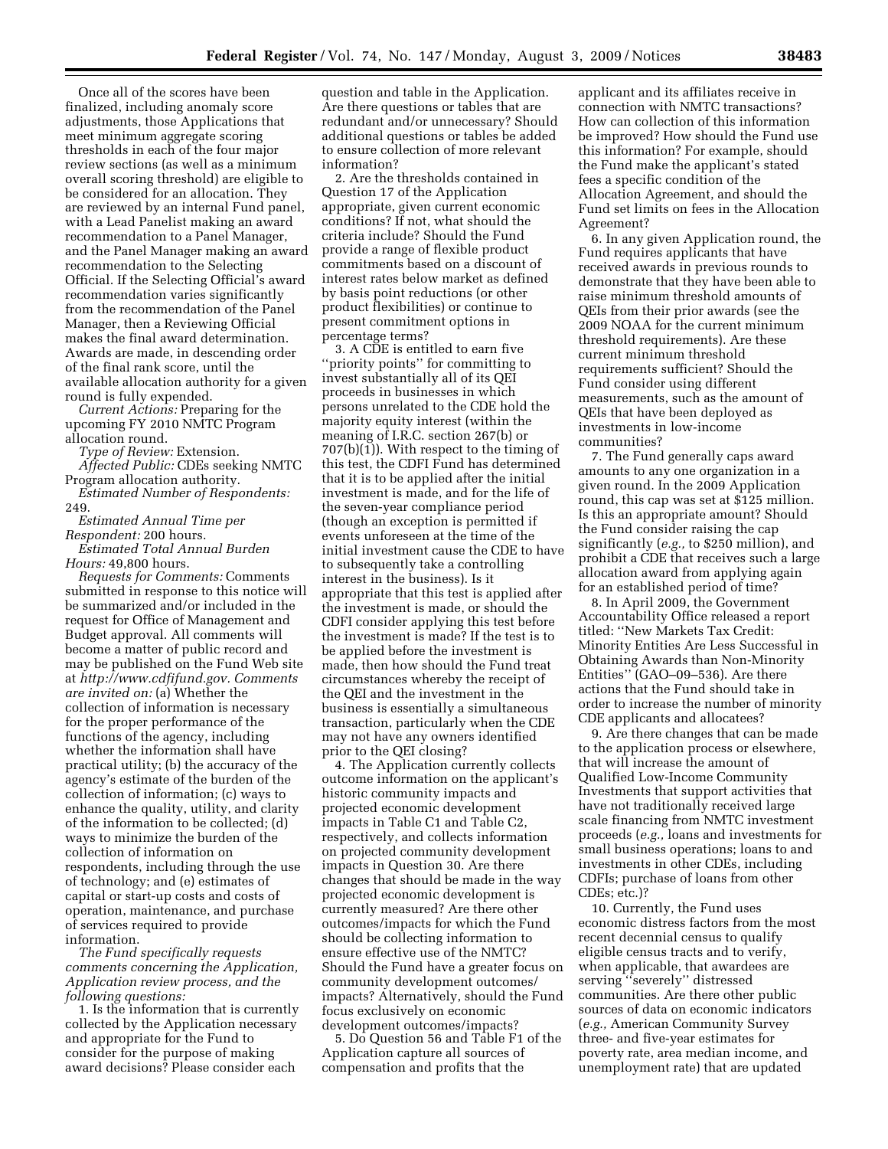Once all of the scores have been finalized, including anomaly score adjustments, those Applications that meet minimum aggregate scoring thresholds in each of the four major review sections (as well as a minimum overall scoring threshold) are eligible to be considered for an allocation. They are reviewed by an internal Fund panel, with a Lead Panelist making an award recommendation to a Panel Manager, and the Panel Manager making an award recommendation to the Selecting Official. If the Selecting Official's award recommendation varies significantly from the recommendation of the Panel Manager, then a Reviewing Official makes the final award determination. Awards are made, in descending order of the final rank score, until the available allocation authority for a given round is fully expended.

*Current Actions:* Preparing for the upcoming FY 2010 NMTC Program allocation round.

*Type of Review:* Extension.

*Affected Public:* CDEs seeking NMTC Program allocation authority.

*Estimated Number of Respondents:*  249.

*Estimated Annual Time per Respondent:* 200 hours.

*Estimated Total Annual Burden Hours:* 49,800 hours.

*Requests for Comments:* Comments submitted in response to this notice will be summarized and/or included in the request for Office of Management and Budget approval. All comments will become a matter of public record and may be published on the Fund Web site at *http://www.cdfifund.gov. Comments are invited on:* (a) Whether the collection of information is necessary for the proper performance of the functions of the agency, including whether the information shall have practical utility; (b) the accuracy of the agency's estimate of the burden of the collection of information; (c) ways to enhance the quality, utility, and clarity of the information to be collected; (d) ways to minimize the burden of the collection of information on respondents, including through the use of technology; and (e) estimates of capital or start-up costs and costs of operation, maintenance, and purchase of services required to provide information.

*The Fund specifically requests comments concerning the Application, Application review process, and the following questions:* 

1. Is the information that is currently collected by the Application necessary and appropriate for the Fund to consider for the purpose of making award decisions? Please consider each

question and table in the Application. Are there questions or tables that are redundant and/or unnecessary? Should additional questions or tables be added to ensure collection of more relevant information?

2. Are the thresholds contained in Question 17 of the Application appropriate, given current economic conditions? If not, what should the criteria include? Should the Fund provide a range of flexible product commitments based on a discount of interest rates below market as defined by basis point reductions (or other product flexibilities) or continue to present commitment options in percentage terms?

3. A CDE is entitled to earn five ''priority points'' for committing to invest substantially all of its QEI proceeds in businesses in which persons unrelated to the CDE hold the majority equity interest (within the meaning of I.R.C. section 267(b) or 707(b)(1)). With respect to the timing of this test, the CDFI Fund has determined that it is to be applied after the initial investment is made, and for the life of the seven-year compliance period (though an exception is permitted if events unforeseen at the time of the initial investment cause the CDE to have to subsequently take a controlling interest in the business). Is it appropriate that this test is applied after the investment is made, or should the CDFI consider applying this test before the investment is made? If the test is to be applied before the investment is made, then how should the Fund treat circumstances whereby the receipt of the QEI and the investment in the business is essentially a simultaneous transaction, particularly when the CDE may not have any owners identified prior to the QEI closing?

4. The Application currently collects outcome information on the applicant's historic community impacts and projected economic development impacts in Table C1 and Table C2, respectively, and collects information on projected community development impacts in Question 30. Are there changes that should be made in the way projected economic development is currently measured? Are there other outcomes/impacts for which the Fund should be collecting information to ensure effective use of the NMTC? Should the Fund have a greater focus on community development outcomes/ impacts? Alternatively, should the Fund focus exclusively on economic development outcomes/impacts?

5. Do Question 56 and Table F1 of the Application capture all sources of compensation and profits that the

applicant and its affiliates receive in connection with NMTC transactions? How can collection of this information be improved? How should the Fund use this information? For example, should the Fund make the applicant's stated fees a specific condition of the Allocation Agreement, and should the Fund set limits on fees in the Allocation Agreement?

6. In any given Application round, the Fund requires applicants that have received awards in previous rounds to demonstrate that they have been able to raise minimum threshold amounts of QEIs from their prior awards (see the 2009 NOAA for the current minimum threshold requirements). Are these current minimum threshold requirements sufficient? Should the Fund consider using different measurements, such as the amount of QEIs that have been deployed as investments in low-income communities?

7. The Fund generally caps award amounts to any one organization in a given round. In the 2009 Application round, this cap was set at \$125 million. Is this an appropriate amount? Should the Fund consider raising the cap significantly (*e.g.,* to \$250 million), and prohibit a CDE that receives such a large allocation award from applying again for an established period of time?

8. In April 2009, the Government Accountability Office released a report titled: ''New Markets Tax Credit: Minority Entities Are Less Successful in Obtaining Awards than Non-Minority Entities'' (GAO–09–536). Are there actions that the Fund should take in order to increase the number of minority CDE applicants and allocatees?

9. Are there changes that can be made to the application process or elsewhere, that will increase the amount of Qualified Low-Income Community Investments that support activities that have not traditionally received large scale financing from NMTC investment proceeds (*e.g.,* loans and investments for small business operations; loans to and investments in other CDEs, including CDFIs; purchase of loans from other CDEs; etc.)?

10. Currently, the Fund uses economic distress factors from the most recent decennial census to qualify eligible census tracts and to verify, when applicable, that awardees are serving ''severely'' distressed communities. Are there other public sources of data on economic indicators (*e.g.,* American Community Survey three- and five-year estimates for poverty rate, area median income, and unemployment rate) that are updated